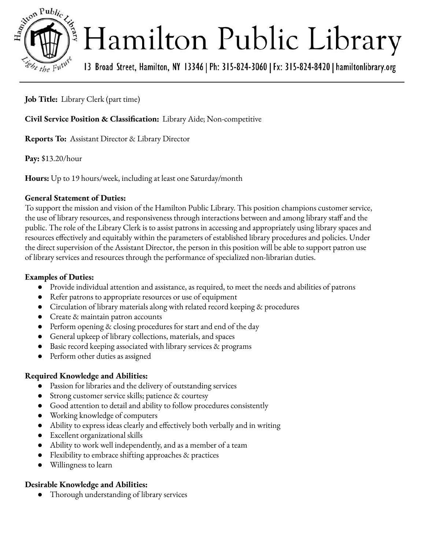

# Hamilton Public Library

13 Broad Street, Hamilton, NY 13346 | Ph: 315-824-3060 | Fx: 315-824-8420 | hamiltonlibrary.org

**Job Title:** Library Clerk (part time)

**Civil Service Position & Classification:** Library Aide; Non-competitive

**Reports To:** Assistant Director & Library Director

**Pay:** \$13.20/hour

**Hours:** Up to 19 hours/week, including at least one Saturday/month

#### **General Statement of Duties:**

To support the mission and vision of the Hamilton Public Library. This position champions customer service, the use of library resources, and responsiveness through interactions between and among library staff and the public. The role of the Library Clerk is to assist patrons in accessing and appropriately using library spaces and resources effectively and equitably within the parameters of established library procedures and policies. Under the direct supervision of the Assistant Director, the person in this position will be able to support patron use of library services and resources through the performance of specialized non-librarian duties.

#### **Examples of Duties:**

- Provide individual attention and assistance, as required, to meet the needs and abilities of patrons
- Refer patrons to appropriate resources or use of equipment
- Circulation of library materials along with related record keeping & procedures
- Create & maintain patron accounts
- Perform opening & closing procedures for start and end of the day
- General upkeep of library collections, materials, and spaces
- Basic record keeping associated with library services  $\&$  programs
- Perform other duties as assigned

#### **Required Knowledge and Abilities:**

- Passion for libraries and the delivery of outstanding services
- Strong customer service skills; patience & courtesy
- Good attention to detail and ability to follow procedures consistently
- Working knowledge of computers
- Ability to express ideas clearly and effectively both verbally and in writing
- Excellent organizational skills
- Ability to work well independently, and as a member of a team
- Flexibility to embrace shifting approaches  $\&$  practices
- Willingness to learn

#### **Desirable Knowledge and Abilities:**

Thorough understanding of library services